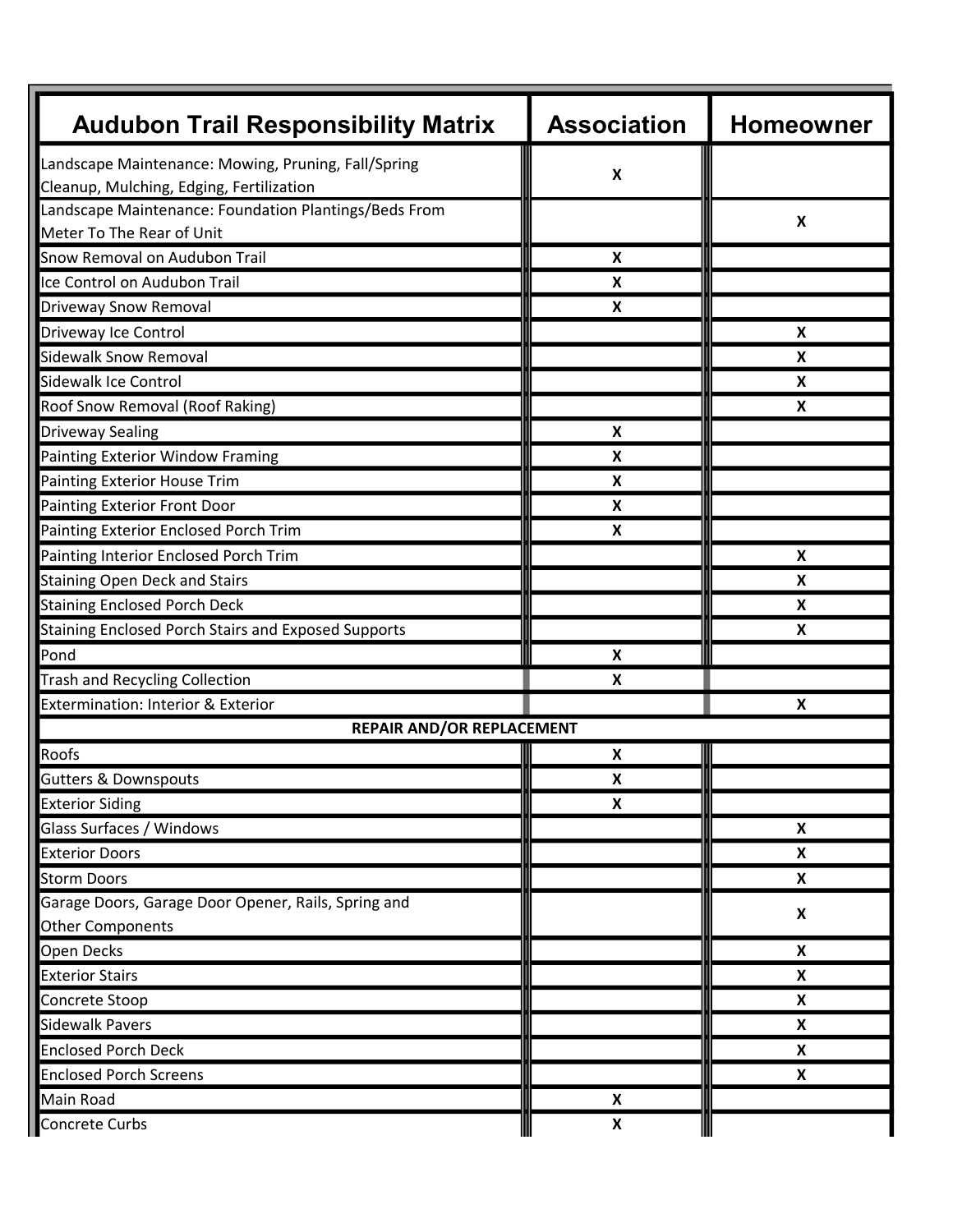| <b>Audubon Trail Responsibility Matrix</b>            | <b>Association</b>        | <b>Homeowner</b>          |
|-------------------------------------------------------|---------------------------|---------------------------|
| Landscape Maintenance: Mowing, Pruning, Fall/Spring   |                           |                           |
| Cleanup, Mulching, Edging, Fertilization              | $\boldsymbol{\mathsf{X}}$ |                           |
| Landscape Maintenance: Foundation Plantings/Beds From |                           |                           |
| Meter To The Rear of Unit                             |                           | X                         |
| Snow Removal on Audubon Trail                         | X                         |                           |
| Ice Control on Audubon Trail                          | $\boldsymbol{\mathsf{X}}$ |                           |
| Driveway Snow Removal                                 | X                         |                           |
| Driveway Ice Control                                  |                           | X                         |
| <b>Sidewalk Snow Removal</b>                          |                           | $\pmb{\mathsf{X}}$        |
| Sidewalk Ice Control                                  |                           | X                         |
| Roof Snow Removal (Roof Raking)                       |                           | X                         |
| <b>Driveway Sealing</b>                               | $\boldsymbol{\mathsf{x}}$ |                           |
| Painting Exterior Window Framing                      | X                         |                           |
| <b>Painting Exterior House Trim</b>                   | X                         |                           |
| <b>Painting Exterior Front Door</b>                   | $\boldsymbol{\mathsf{X}}$ |                           |
| Painting Exterior Enclosed Porch Trim                 | X                         |                           |
| Painting Interior Enclosed Porch Trim                 |                           | X                         |
| <b>Staining Open Deck and Stairs</b>                  |                           | $\pmb{\mathsf{X}}$        |
| <b>Staining Enclosed Porch Deck</b>                   |                           | X                         |
| Staining Enclosed Porch Stairs and Exposed Supports   |                           | X                         |
| Pond                                                  | $\boldsymbol{\mathsf{x}}$ |                           |
| <b>Trash and Recycling Collection</b>                 | X                         |                           |
| Extermination: Interior & Exterior                    |                           | X                         |
| <b>REPAIR AND/OR REPLACEMENT</b>                      |                           |                           |
| Roofs                                                 | X                         |                           |
| <b>Gutters &amp; Downspouts</b>                       | X                         |                           |
| <b>Exterior Siding</b>                                | $\boldsymbol{\mathsf{X}}$ |                           |
| Glass Surfaces / Windows                              |                           | $\boldsymbol{\mathsf{X}}$ |
| <b>Exterior Doors</b>                                 |                           | X                         |
| <b>Storm Doors</b>                                    |                           | X                         |
| Garage Doors, Garage Door Opener, Rails, Spring and   |                           | $\boldsymbol{\mathsf{x}}$ |
| <b>Other Components</b>                               |                           |                           |
| Open Decks                                            |                           | X                         |
| <b>Exterior Stairs</b>                                |                           | $\boldsymbol{\mathsf{X}}$ |
| Concrete Stoop                                        |                           | X                         |
| <b>Sidewalk Pavers</b>                                |                           | X                         |
| <b>Enclosed Porch Deck</b>                            |                           | X                         |
| <b>Enclosed Porch Screens</b>                         |                           | X                         |
| Main Road                                             | $\boldsymbol{\mathsf{X}}$ |                           |
| Concrete Curbs                                        | $\boldsymbol{\mathsf{X}}$ |                           |